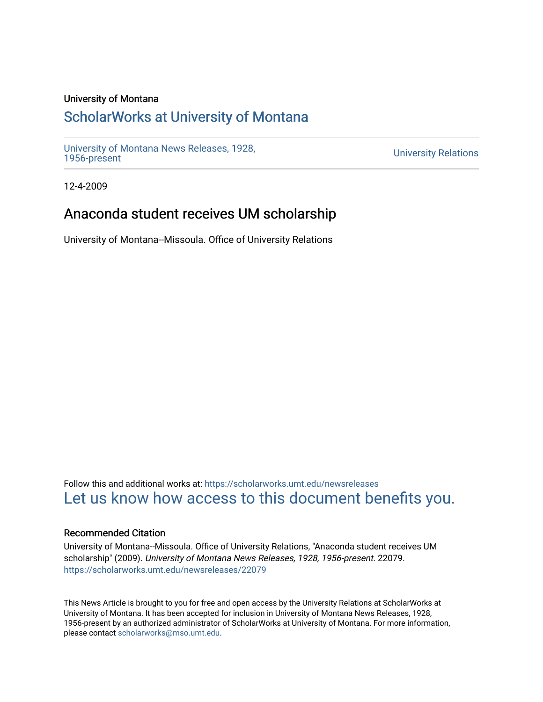#### University of Montana

# [ScholarWorks at University of Montana](https://scholarworks.umt.edu/)

[University of Montana News Releases, 1928,](https://scholarworks.umt.edu/newsreleases) 

**University Relations** 

12-4-2009

# Anaconda student receives UM scholarship

University of Montana--Missoula. Office of University Relations

Follow this and additional works at: [https://scholarworks.umt.edu/newsreleases](https://scholarworks.umt.edu/newsreleases?utm_source=scholarworks.umt.edu%2Fnewsreleases%2F22079&utm_medium=PDF&utm_campaign=PDFCoverPages) [Let us know how access to this document benefits you.](https://goo.gl/forms/s2rGfXOLzz71qgsB2) 

#### Recommended Citation

University of Montana--Missoula. Office of University Relations, "Anaconda student receives UM scholarship" (2009). University of Montana News Releases, 1928, 1956-present. 22079. [https://scholarworks.umt.edu/newsreleases/22079](https://scholarworks.umt.edu/newsreleases/22079?utm_source=scholarworks.umt.edu%2Fnewsreleases%2F22079&utm_medium=PDF&utm_campaign=PDFCoverPages) 

This News Article is brought to you for free and open access by the University Relations at ScholarWorks at University of Montana. It has been accepted for inclusion in University of Montana News Releases, 1928, 1956-present by an authorized administrator of ScholarWorks at University of Montana. For more information, please contact [scholarworks@mso.umt.edu.](mailto:scholarworks@mso.umt.edu)